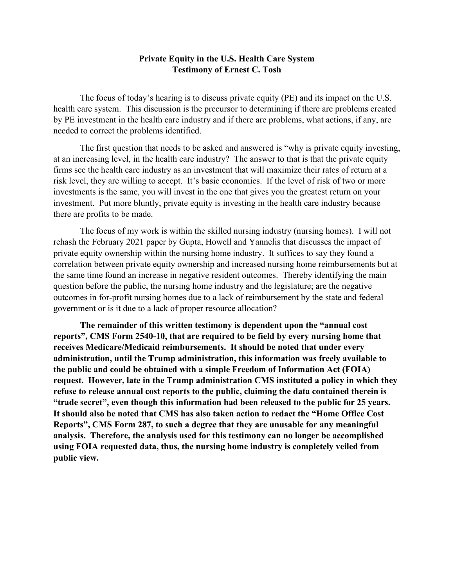# **Private Equity in the U.S. Health Care System Testimony of Ernest C. Tosh**

The focus of today's hearing is to discuss private equity (PE) and its impact on the U.S. health care system. This discussion is the precursor to determining if there are problems created by PE investment in the health care industry and if there are problems, what actions, if any, are needed to correct the problems identified.

The first question that needs to be asked and answered is "why is private equity investing, at an increasing level, in the health care industry? The answer to that is that the private equity firms see the health care industry as an investment that will maximize their rates of return at a risk level, they are willing to accept. It's basic economics. If the level of risk of two or more investments is the same, you will invest in the one that gives you the greatest return on your investment. Put more bluntly, private equity is investing in the health care industry because there are profits to be made.

The focus of my work is within the skilled nursing industry (nursing homes). I will not rehash the February 2021 paper by Gupta, Howell and Yannelis that discusses the impact of private equity ownership within the nursing home industry. It suffices to say they found a correlation between private equity ownership and increased nursing home reimbursements but at the same time found an increase in negative resident outcomes. Thereby identifying the main question before the public, the nursing home industry and the legislature; are the negative outcomes in for-profit nursing homes due to a lack of reimbursement by the state and federal government or is it due to a lack of proper resource allocation?

**The remainder of this written testimony is dependent upon the "annual cost reports", CMS Form 2540-10, that are required to be field by every nursing home that receives Medicare/Medicaid reimbursements. It should be noted that under every administration, until the Trump administration, this information was freely available to the public and could be obtained with a simple Freedom of Information Act (FOIA) request. However, late in the Trump administration CMS instituted a policy in which they refuse to release annual cost reports to the public, claiming the data contained therein is "trade secret", even though this information had been released to the public for 25 years. It should also be noted that CMS has also taken action to redact the "Home Office Cost Reports", CMS Form 287, to such a degree that they are unusable for any meaningful analysis. Therefore, the analysis used for this testimony can no longer be accomplished using FOIA requested data, thus, the nursing home industry is completely veiled from public view.**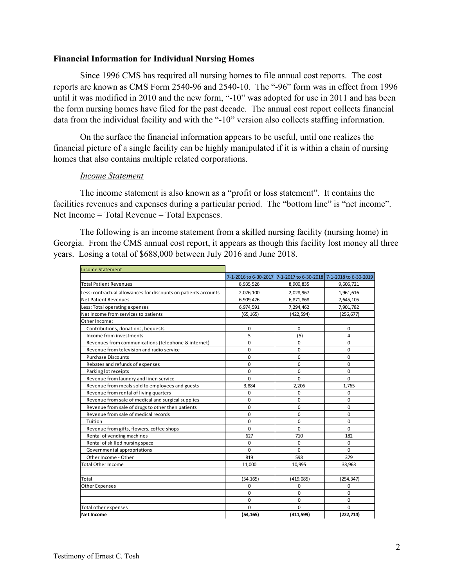### **Financial Information for Individual Nursing Homes**

Since 1996 CMS has required all nursing homes to file annual cost reports. The cost reports are known as CMS Form 2540-96 and 2540-10. The "-96" form was in effect from 1996 until it was modified in 2010 and the new form, "-10" was adopted for use in 2011 and has been the form nursing homes have filed for the past decade. The annual cost report collects financial data from the individual facility and with the "-10" version also collects staffing information.

On the surface the financial information appears to be useful, until one realizes the financial picture of a single facility can be highly manipulated if it is within a chain of nursing homes that also contains multiple related corporations.

## *Income Statement*

The income statement is also known as a "profit or loss statement". It contains the facilities revenues and expenses during a particular period. The "bottom line" is "net income". Net Income = Total Revenue – Total Expenses.

The following is an income statement from a skilled nursing facility (nursing home) in Georgia. From the CMS annual cost report, it appears as though this facility lost money all three years. Losing a total of \$688,000 between July 2016 and June 2018.

| <b>Income Statement</b>                                         |                       |                                             |             |
|-----------------------------------------------------------------|-----------------------|---------------------------------------------|-------------|
|                                                                 | 7-1-2016 to 6-30-2017 | 7-1-2017 to 6-30-2018 7-1-2018 to 6-30-2019 |             |
| <b>Total Patient Revenues</b>                                   | 8,935,526             | 8,900,835                                   | 9,606,721   |
| Less: contractual allowances for discounts on patients accounts | 2,026,100             | 2,028,967                                   | 1,961,616   |
| Net Patient Revenues                                            | 6,909,426             | 6,871,868                                   | 7,645,105   |
| Less: Total operating expenses                                  | 6,974,591             | 7,294,462                                   | 7,901,782   |
| Net Income from services to patients                            | (65, 165)             | (422, 594)                                  | (256, 677)  |
| Other Income:                                                   |                       |                                             |             |
| Contributions, donations, bequests                              | $\mathbf 0$           | $\mathbf 0$                                 | $\mathbf 0$ |
| Income from investments                                         | 5                     | (5)                                         | 4           |
| Revenues from communications (telephone & internet)             | $\mathbf 0$           | $\mathbf 0$                                 | 0           |
| Revenue from television and radio service                       | $\Omega$              | $\mathbf 0$                                 | $\Omega$    |
| <b>Purchase Discounts</b>                                       | $\Omega$              | $\mathbf 0$                                 | 0           |
| Rebates and refunds of expenses                                 | $\mathbf 0$           | $\mathbf 0$                                 | 0           |
| Parking lot receipts                                            | $\mathbf 0$           | $\mathbf 0$                                 | 0           |
| Revenue from laundry and linen service                          | $\Omega$              | $\Omega$                                    | 0           |
| Revenue from meals sold to employees and guests                 | 3.884                 | 2.206                                       | 1.765       |
| Revenue from rental of living quarters                          | $\mathbf 0$           | $\mathbf 0$                                 | 0           |
| Revenue from sale of medical and surgical supplies              | $\mathbf 0$           | 0                                           | 0           |
| Revenue from sale of drugs to other then patients               | $\mathbf 0$           | $\mathbf 0$                                 | 0           |
| Revenue from sale of medical records                            | $\mathbf 0$           | $\mathbf 0$                                 | 0           |
| Tuition                                                         | $\mathbf 0$           | $\mathbf 0$                                 | 0           |
| Revenue from gifts, flowers, coffee shops                       | $\mathbf 0$           | $\Omega$                                    | 0           |
| Rental of vending machines                                      | 627                   | 710                                         | 182         |
| Rental of skilled nursing space                                 | 0                     | 0                                           | 0           |
| Governmental appropriations                                     | $\Omega$              | $\Omega$                                    | $\Omega$    |
| Other Income - Other                                            | 819                   | 598                                         | 379         |
| <b>Total Other Income</b>                                       | 11.000                | 10,995                                      | 33,963      |
|                                                                 |                       |                                             |             |
| Total                                                           | (54, 165)             | (419, 085)                                  | (254, 347)  |
| Other Expenses                                                  | $\Omega$              | $\Omega$                                    | 0           |
|                                                                 | $\mathbf 0$           | $\mathbf 0$                                 | 0           |
|                                                                 | 0                     | $\mathbf 0$                                 | 0           |
| Total other expenses                                            | $\Omega$              | $\Omega$                                    | $\Omega$    |
| <b>Net Income</b>                                               | (54, 165)             | (411, 599)                                  | (222, 714)  |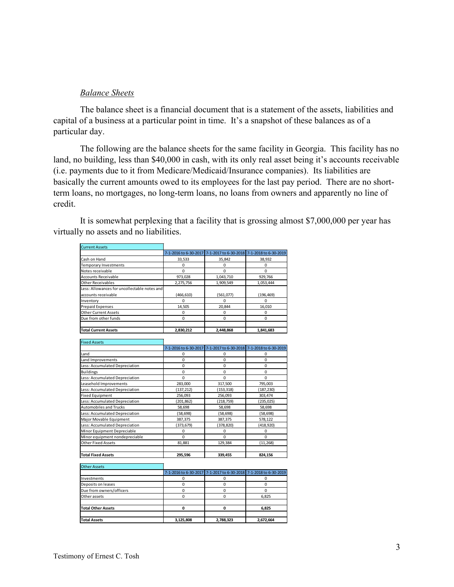#### *Balance Sheets*

The balance sheet is a financial document that is a statement of the assets, liabilities and capital of a business at a particular point in time. It's a snapshot of these balances as of a particular day.

The following are the balance sheets for the same facility in Georgia. This facility has no land, no building, less than \$40,000 in cash, with its only real asset being it's accounts receivable (i.e. payments due to it from Medicare/Medicaid/Insurance companies). Its liabilities are basically the current amounts owed to its employees for the last pay period. There are no shortterm loans, no mortgages, no long-term loans, no loans from owners and apparently no line of credit.

It is somewhat perplexing that a facility that is grossing almost \$7,000,000 per year has virtually no assets and no liabilities.

| <b>Current Assets</b>                        |            |                                                                   |            |
|----------------------------------------------|------------|-------------------------------------------------------------------|------------|
|                                              |            | 7-1-2016 to 6-30-2017 7-1-2017 to 6-30-2018 7-1-2018 to 6-30-2019 |            |
| Cash on Hand                                 | 33,533     | 35,842                                                            | 38,932     |
| <b>Temporary Investments</b>                 | 0          | 0                                                                 | 0          |
| Notes receivable                             | 0          | $\mathbf 0$                                                       | n          |
| <b>Accounts Receivable</b>                   | 973,028    | 1,043,710                                                         | 929,766    |
| <b>Other Receivables</b>                     | 2,275,756  | 1,909,549                                                         | 1,053,444  |
| Less: Allowances for uncollectable notes and |            |                                                                   |            |
| accounts receivable                          | (466, 610) | (561,077)                                                         | (196, 469) |
| Inventory                                    | 0          | $\Omega$                                                          | Ω          |
| <b>Prepaid Expenses</b>                      | 14,505     | 20.844                                                            | 16.010     |
| <b>Other Current Assets</b>                  | 0          | $\Omega$                                                          | n          |
| Due from other funds                         | $\Omega$   | $\Omega$                                                          | O          |
| <b>Total Current Assets</b>                  | 2,830,212  | 2,448,868                                                         | 1,841,683  |

| <b>Fixed Assets</b>            |                       |             |                                             |
|--------------------------------|-----------------------|-------------|---------------------------------------------|
|                                | 7-1-2016 to 6-30-2017 |             | 7-1-2017 to 6-30-2018 7-1-2018 to 6-30-2019 |
| Land                           | 0                     | 0           | 0                                           |
| Land Improvements              | 0                     | $\mathbf 0$ | 0                                           |
| Less: Accumulated Depreciation | 0                     | $\Omega$    | $\Omega$                                    |
| <b>Buildings</b>               | $\Omega$              | $\Omega$    | 0                                           |
| Less: Accumulated Depreciation | 0                     | $\mathbf 0$ | 0                                           |
| Leasehold Improvements         | 283,000               | 317,500     | 795,003                                     |
| Less: Accumulated Depreciation | (137, 212)            | (153, 318)  | (187, 230)                                  |
| <b>Fixed Equipment</b>         | 256,093               | 256,093     | 303,474                                     |
| Less: Accumulated Depreciation | (201, 862)            | (218, 759)  | (235, 025)                                  |
| <b>Automobiles and Trucks</b>  | 58,698                | 58,698      | 58,698                                      |
| Less: Accumulated Depreciation | (58,698)              | (58,698)    | (58, 698)                                   |
| Major Movable Equipment        | 387,375               | 387,375     | 578,122                                     |
| Less: Accumulated Depreciation | (373,679)             | (378, 820)  | (418, 920)                                  |
| Minor Equipment Depreciable    | 0                     | $\mathbf 0$ | 0                                           |
| Minor equipment nondepreciable | $\Omega$              | $\Omega$    | $\Omega$                                    |
| <b>Other Fixed Assets</b>      | 81,881                | 129,384     | (11, 268)                                   |
|                                |                       |             |                                             |
| <b>Total Fixed Assets</b>      | 295,596               | 339,455     | 824,156                                     |

| <b>Other Assets</b>       |           |                                                                   |           |
|---------------------------|-----------|-------------------------------------------------------------------|-----------|
|                           |           | 7-1-2016 to 6-30-2017 7-1-2017 to 6-30-2018 7-1-2018 to 6-30-2019 |           |
| Investments               |           |                                                                   |           |
| Deposits on leases        |           |                                                                   |           |
| Due from owners/officers  |           |                                                                   |           |
| Other assets              |           |                                                                   | 6,825     |
|                           |           |                                                                   |           |
| <b>Total Other Assets</b> |           |                                                                   | 6,825     |
|                           |           |                                                                   |           |
| <b>Total Assets</b>       | 3,125,808 | 2,788,323                                                         | 2,672,664 |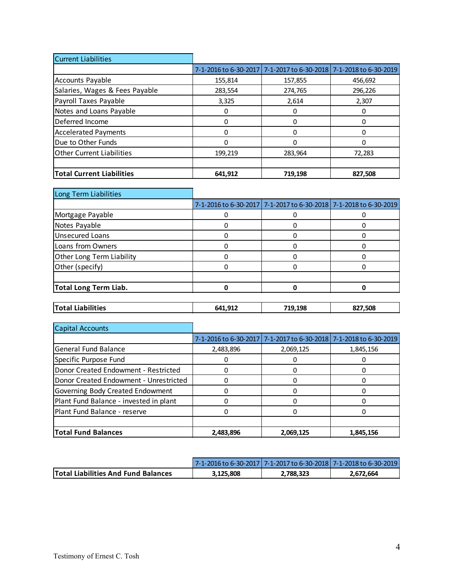| <b>Current Liabilities</b>       |                       |         |                                             |
|----------------------------------|-----------------------|---------|---------------------------------------------|
|                                  | 7-1-2016 to 6-30-2017 |         | 7-1-2017 to 6-30-2018 7-1-2018 to 6-30-2019 |
| <b>Accounts Payable</b>          | 155,814               | 157,855 | 456,692                                     |
| Salaries, Wages & Fees Payable   | 283,554               | 274,765 | 296,226                                     |
| Payroll Taxes Payable            | 3,325                 | 2,614   | 2,307                                       |
| Notes and Loans Payable          |                       | 0       |                                             |
| Deferred Income                  |                       | 0       |                                             |
| <b>Accelerated Payments</b>      |                       | 0       |                                             |
| Due to Other Funds               |                       | 0       |                                             |
| <b>Other Current Liabilities</b> | 199,219               | 283,964 | 72,283                                      |
|                                  |                       |         |                                             |
| <b>Total Current Liabilities</b> | 641,912               | 719,198 | 827,508                                     |

| Long Term Liabilities        |                                                                   |  |
|------------------------------|-------------------------------------------------------------------|--|
|                              | 7-1-2016 to 6-30-2017 7-1-2017 to 6-30-2018 7-1-2018 to 6-30-2019 |  |
| Mortgage Payable             |                                                                   |  |
| Notes Payable                |                                                                   |  |
| Unsecured Loans              |                                                                   |  |
| Loans from Owners            |                                                                   |  |
| Other Long Term Liability    |                                                                   |  |
| Other (specify)              |                                                                   |  |
|                              |                                                                   |  |
| <b>Total Long Term Liab.</b> |                                                                   |  |
|                              |                                                                   |  |

| <b>Total Liabilities</b> | 641,912 | 719.198 | 827.508<br>~ |
|--------------------------|---------|---------|--------------|
|                          |         |         |              |

| Capital Accounts                       |           |                                                                   |           |
|----------------------------------------|-----------|-------------------------------------------------------------------|-----------|
|                                        |           | 7-1-2016 to 6-30-2017 7-1-2017 to 6-30-2018 7-1-2018 to 6-30-2019 |           |
| <b>General Fund Balance</b>            | 2,483,896 | 2,069,125                                                         | 1,845,156 |
| Specific Purpose Fund                  |           |                                                                   |           |
| Donor Created Endowment - Restricted   |           |                                                                   |           |
| Donor Created Endowment - Unrestricted |           |                                                                   |           |
| Governing Body Created Endowment       |           |                                                                   |           |
| Plant Fund Balance - invested in plant |           |                                                                   |           |
| Plant Fund Balance - reserve           |           |                                                                   |           |
|                                        |           |                                                                   |           |
| <b>Total Fund Balances</b>             | 2,483,896 | 2,069,125                                                         | 1,845,156 |

|                                            | <u>17-1-2016 to 6-30-201717-1-2017 to 6-30-201817-1-2018 to 6-30-20191</u> |           |           |
|--------------------------------------------|----------------------------------------------------------------------------|-----------|-----------|
| <b>Total Liabilities And Fund Balances</b> | 3.125.808                                                                  | 2,788,323 | 2.672.664 |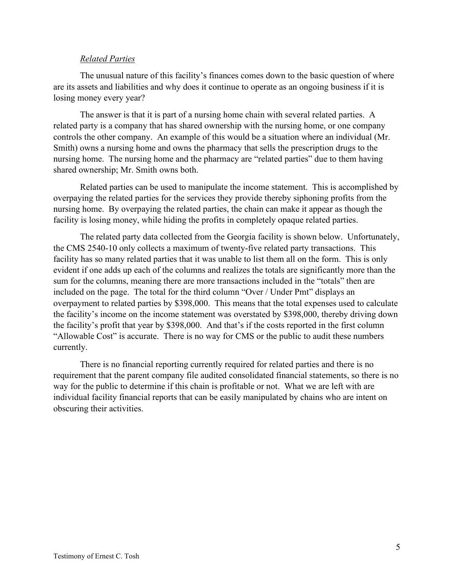## *Related Parties*

The unusual nature of this facility's finances comes down to the basic question of where are its assets and liabilities and why does it continue to operate as an ongoing business if it is losing money every year?

The answer is that it is part of a nursing home chain with several related parties. A related party is a company that has shared ownership with the nursing home, or one company controls the other company. An example of this would be a situation where an individual (Mr. Smith) owns a nursing home and owns the pharmacy that sells the prescription drugs to the nursing home. The nursing home and the pharmacy are "related parties" due to them having shared ownership; Mr. Smith owns both.

Related parties can be used to manipulate the income statement. This is accomplished by overpaying the related parties for the services they provide thereby siphoning profits from the nursing home. By overpaying the related parties, the chain can make it appear as though the facility is losing money, while hiding the profits in completely opaque related parties.

The related party data collected from the Georgia facility is shown below. Unfortunately, the CMS 2540-10 only collects a maximum of twenty-five related party transactions. This facility has so many related parties that it was unable to list them all on the form. This is only evident if one adds up each of the columns and realizes the totals are significantly more than the sum for the columns, meaning there are more transactions included in the "totals" then are included on the page. The total for the third column "Over / Under Pmt" displays an overpayment to related parties by \$398,000. This means that the total expenses used to calculate the facility's income on the income statement was overstated by \$398,000, thereby driving down the facility's profit that year by \$398,000. And that's if the costs reported in the first column "Allowable Cost" is accurate. There is no way for CMS or the public to audit these numbers currently.

There is no financial reporting currently required for related parties and there is no requirement that the parent company file audited consolidated financial statements, so there is no way for the public to determine if this chain is profitable or not. What we are left with are individual facility financial reports that can be easily manipulated by chains who are intent on obscuring their activities.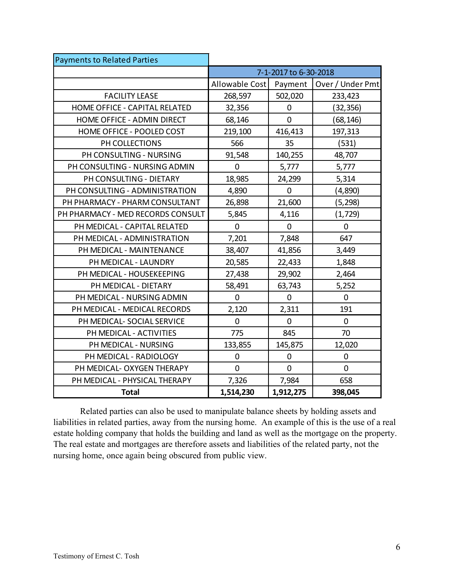| <b>Payments to Related Parties</b> |                       |                |                  |
|------------------------------------|-----------------------|----------------|------------------|
|                                    | 7-1-2017 to 6-30-2018 |                |                  |
|                                    | Allowable Cost        | Payment        | Over / Under Pmt |
| <b>FACILITY LEASE</b>              | 268,597               | 502,020        | 233,423          |
| HOME OFFICE - CAPITAL RELATED      | 32,356                | 0              | (32, 356)        |
| HOME OFFICE - ADMIN DIRECT         | 68,146                | $\overline{0}$ | (68, 146)        |
| HOME OFFICE - POOLED COST          | 219,100               | 416,413        | 197,313          |
| PH COLLECTIONS                     | 566                   | 35             | (531)            |
| PH CONSULTING - NURSING            | 91,548                | 140,255        | 48,707           |
| PH CONSULTING - NURSING ADMIN      | 0                     | 5,777          | 5,777            |
| PH CONSULTING - DIETARY            | 18,985                | 24,299         | 5,314            |
| PH CONSULTING - ADMINISTRATION     | 4,890                 | $\overline{0}$ | (4,890)          |
| PH PHARMACY - PHARM CONSULTANT     | 26,898                | 21,600         | (5, 298)         |
| PH PHARMACY - MED RECORDS CONSULT  | 5,845                 | 4,116          | (1, 729)         |
| PH MEDICAL - CAPITAL RELATED       | $\mathbf 0$           | 0              | $\mathbf 0$      |
| PH MEDICAL - ADMINISTRATION        | 7,201                 | 7,848          | 647              |
| PH MEDICAL - MAINTENANCE           | 38,407                | 41,856         | 3,449            |
| PH MEDICAL - LAUNDRY               | 20,585                | 22,433         | 1,848            |
| PH MEDICAL - HOUSEKEEPING          | 27,438                | 29,902         | 2,464            |
| PH MEDICAL - DIETARY               | 58,491                | 63,743         | 5,252            |
| PH MEDICAL - NURSING ADMIN         | $\mathbf 0$           | 0              | $\mathbf 0$      |
| PH MEDICAL - MEDICAL RECORDS       | 2,120                 | 2,311          | 191              |
| PH MEDICAL- SOCIAL SERVICE         | $\mathbf 0$           | $\overline{0}$ | $\mathbf 0$      |
| PH MEDICAL - ACTIVITIES            | 775                   | 845            | 70               |
| PH MEDICAL - NURSING               | 133,855               | 145,875        | 12,020           |
| PH MEDICAL - RADIOLOGY             | 0                     | 0              | $\mathbf 0$      |
| PH MEDICAL- OXYGEN THERAPY         | 0                     | 0              | $\mathbf 0$      |
| PH MEDICAL - PHYSICAL THERAPY      | 7,326                 | 7,984          | 658              |
| <b>Total</b>                       | 1,514,230             | 1,912,275      | 398,045          |

Related parties can also be used to manipulate balance sheets by holding assets and liabilities in related parties, away from the nursing home. An example of this is the use of a real estate holding company that holds the building and land as well as the mortgage on the property. The real estate and mortgages are therefore assets and liabilities of the related party, not the nursing home, once again being obscured from public view.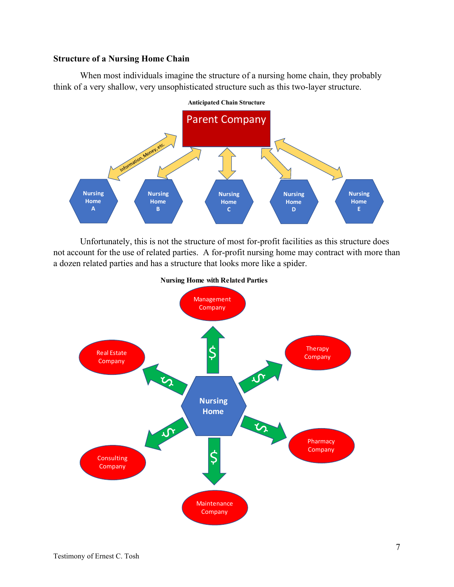# **Structure of a Nursing Home Chain**

When most individuals imagine the structure of a nursing home chain, they probably think of a very shallow, very unsophisticated structure such as this two-layer structure.



Unfortunately, this is not the structure of most for-profit facilities as this structure does not account for the use of related parties. A for-profit nursing home may contract with more than a dozen related parties and has a structure that looks more like a spider.



**Nursing Home with Related Parties**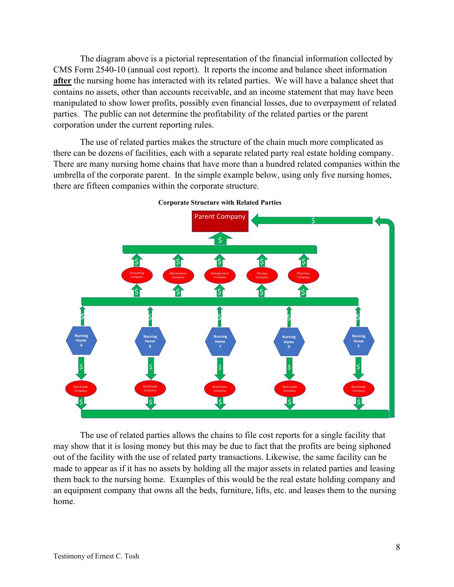The diagram above is a pictorial representation of the financial information collected by CMS Form 2540-10 (annual cost report). It reports the income and balance sheet information after the nursing home has interacted with its related parties. We will have a balance sheet that contains no assets, other than accounts receivable, and an income statement that may have been manipulated to show lower profits, possibly even financial losses, due to overpayment of related parties. The public can not determine the profitability of the related parties or the parent corporation under the current reporting rules.

The use of related parties makes the structure of the chain much more complicated as there can be dozens of facilities, each with a separate related party real estate holding company. There are many nursing home chains that have more than a hundred related companies within the umbrella of the corporate parent. In the simple example below, using only five nursing homes, there are fifteen companies within the corporate structure.



**Corporate Structure with Related Parties**

The use of related parties allows the chains to file cost reports for a single facility that may show that it is losing money but this may be due to fact that the profits are being siphoned out of the facility with the use of related party transactions. Likewise, the same facility can be made to appear as if it has no assets by holding all the major assets in related parties and leasing them back to the nursing home. Examples of this would be the real estate holding company and an equipment company that owns all the beds, furniture, lifts, etc. and leases them to the nursing home.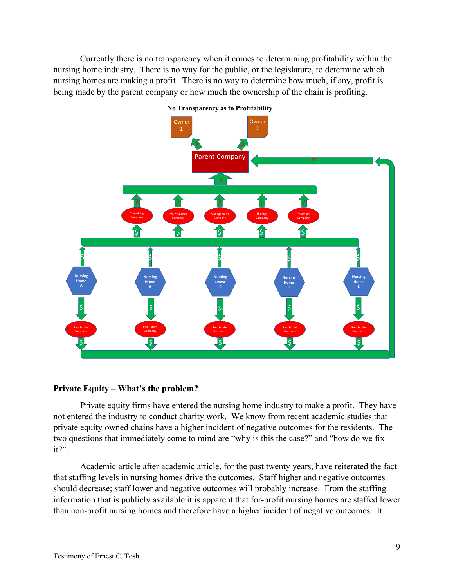Currently there is no transparency when it comes to determining profitability within the nursing home industry. There is no way for the public, or the legislature, to determine which nursing homes are making a profit. There is no way to determine how much, if any, profit is being made by the parent company or how much the ownership of the chain is profiting.



**No Transparency as to Profitability**

# **Private Equity – What's the problem?**

Private equity firms have entered the nursing home industry to make a profit. They have not entered the industry to conduct charity work. We know from recent academic studies that private equity owned chains have a higher incident of negative outcomes for the residents. The two questions that immediately come to mind are "why is this the case?" and "how do we fix it?".

Academic article after academic article, for the past twenty years, have reiterated the fact that staffing levels in nursing homes drive the outcomes. Staff higher and negative outcomes should decrease; staff lower and negative outcomes will probably increase. From the staffing information that is publicly available it is apparent that for-profit nursing homes are staffed lower than non-profit nursing homes and therefore have a higher incident of negative outcomes. It